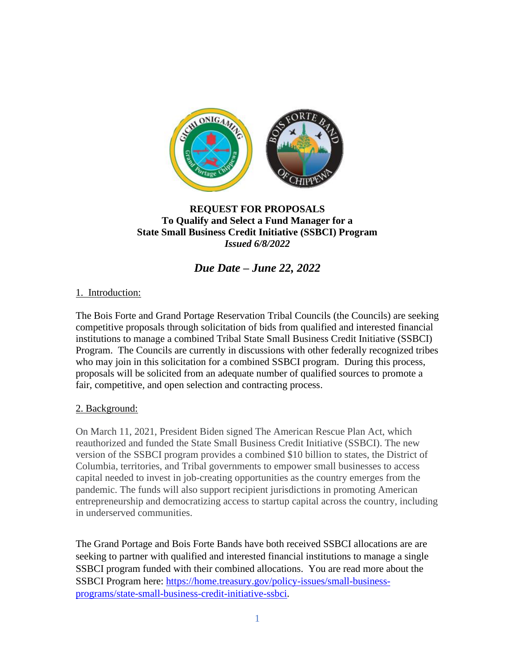

# **REQUEST FOR PROPOSALS To Qualify and Select a Fund Manager for a State Small Business Credit Initiative (SSBCI) Program** *Issued 6/8/2022*

*Due Date – June 22, 2022*

# 1. Introduction:

The Bois Forte and Grand Portage Reservation Tribal Councils (the Councils) are seeking competitive proposals through solicitation of bids from qualified and interested financial institutions to manage a combined Tribal State Small Business Credit Initiative (SSBCI) Program. The Councils are currently in discussions with other federally recognized tribes who may join in this solicitation for a combined SSBCI program. During this process, proposals will be solicited from an adequate number of qualified sources to promote a fair, competitive, and open selection and contracting process.

# 2. Background:

On March 11, 2021, President Biden signed The American Rescue Plan Act, which reauthorized and funded the State Small Business Credit Initiative (SSBCI). The new version of the SSBCI program provides a combined \$10 billion to states, the District of Columbia, territories, and Tribal governments to empower small businesses to access capital needed to invest in job-creating opportunities as the country emerges from the pandemic. The funds will also support recipient jurisdictions in promoting American entrepreneurship and democratizing access to startup capital across the country, including in underserved communities.

The Grand Portage and Bois Forte Bands have both received SSBCI allocations are are seeking to partner with qualified and interested financial institutions to manage a single SSBCI program funded with their combined allocations. You are read more about the SSBCI Program here: [https://home.treasury.gov/policy-issues/small-business](https://home.treasury.gov/policy-issues/small-business-programs/state-small-business-credit-initiative-ssbci)[programs/state-small-business-credit-initiative-ssbci.](https://home.treasury.gov/policy-issues/small-business-programs/state-small-business-credit-initiative-ssbci)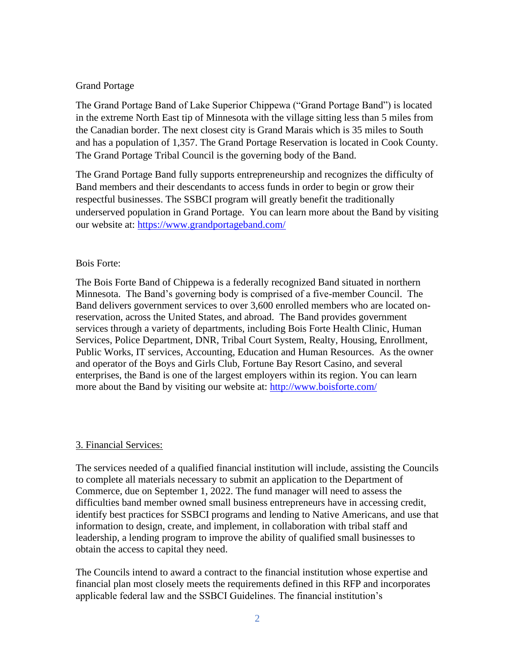## Grand Portage

The Grand Portage Band of Lake Superior Chippewa ("Grand Portage Band") is located in the extreme North East tip of Minnesota with the village sitting less than 5 miles from the Canadian border. The next closest city is Grand Marais which is 35 miles to South and has a population of 1,357. The Grand Portage Reservation is located in Cook County. The Grand Portage Tribal Council is the governing body of the Band.

The Grand Portage Band fully supports entrepreneurship and recognizes the difficulty of Band members and their descendants to access funds in order to begin or grow their respectful businesses. The SSBCI program will greatly benefit the traditionally underserved population in Grand Portage. You can learn more about the Band by visiting our website at:<https://www.grandportageband.com/>

## Bois Forte:

The Bois Forte Band of Chippewa is a federally recognized Band situated in northern Minnesota. The Band's governing body is comprised of a five-member Council. The Band delivers government services to over 3,600 enrolled members who are located onreservation, across the United States, and abroad. The Band provides government services through a variety of departments, including Bois Forte Health Clinic, Human Services, Police Department, DNR, Tribal Court System, Realty, Housing, Enrollment, Public Works, IT services, Accounting, Education and Human Resources. As the owner and operator of the Boys and Girls Club, Fortune Bay Resort Casino, and several enterprises, the Band is one of the largest employers within its region. You can learn more about the Band by visiting our website at:<http://www.boisforte.com/>

## 3. Financial Services:

The services needed of a qualified financial institution will include, assisting the Councils to complete all materials necessary to submit an application to the Department of Commerce, due on September 1, 2022. The fund manager will need to assess the difficulties band member owned small business entrepreneurs have in accessing credit, identify best practices for SSBCI programs and lending to Native Americans, and use that information to design, create, and implement, in collaboration with tribal staff and leadership, a lending program to improve the ability of qualified small businesses to obtain the access to capital they need.

The Councils intend to award a contract to the financial institution whose expertise and financial plan most closely meets the requirements defined in this RFP and incorporates applicable federal law and the SSBCI Guidelines. The financial institution's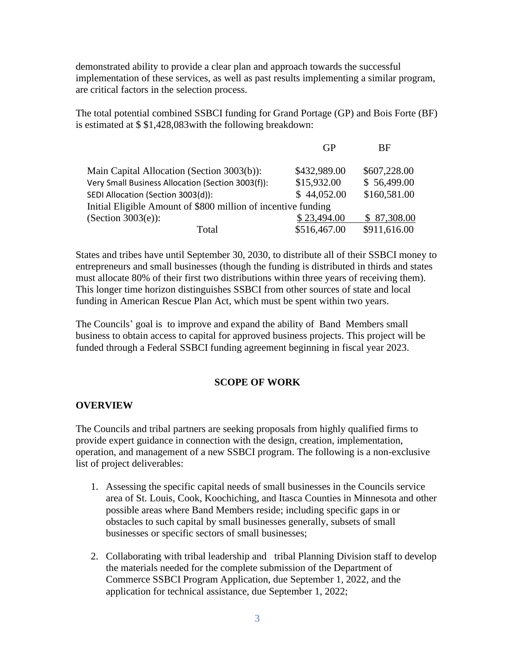demonstrated ability to provide a clear plan and approach towards the successful implementation of these services, as well as past results implementing a similar program, are critical factors in the selection process.

The total potential combined SSBCI funding for Grand Portage (GP) and Bois Forte (BF) is estimated at \$ \$1,428,083with the following breakdown:

|                                                               | GP           | BF           |
|---------------------------------------------------------------|--------------|--------------|
| Main Capital Allocation (Section 3003(b)):                    | \$432,989.00 | \$607,228.00 |
| Very Small Business Allocation (Section 3003(f)):             | \$15,932.00  | \$56,499.00  |
| SEDI Allocation (Section 3003(d)):                            | \$44,052.00  | \$160,581.00 |
| Initial Eligible Amount of \$800 million of incentive funding |              |              |
| (Section $3003(e)$ ):                                         | \$23,494.00  | \$87,308.00  |
| Total                                                         | \$516,467.00 | \$911,616.00 |

States and tribes have until September 30, 2030, to distribute all of their SSBCI money to entrepreneurs and small businesses (though the funding is distributed in thirds and states must allocate 80% of their first two distributions within three years of receiving them). This longer time horizon distinguishes SSBCI from other sources of state and local funding in American Rescue Plan Act, which must be spent within two years.

The Councils' goal is to improve and expand the ability of Band Members small business to obtain access to capital for approved business projects. This project will be funded through a Federal SSBCI funding agreement beginning in fiscal year 2023.

#### **SCOPE OF WORK**

#### **OVERVIEW**

The Councils and tribal partners are seeking proposals from highly qualified firms to provide expert guidance in connection with the design, creation, implementation, operation, and management of a new SSBCI program. The following is a non-exclusive list of project deliverables:

- 1. Assessing the specific capital needs of small businesses in the Councils service area of St. Louis, Cook, Koochiching, and Itasca Counties in Minnesota and other possible areas where Band Members reside; including specific gaps in or obstacles to such capital by small businesses generally, subsets of small businesses or specific sectors of small businesses;
- 2. Collaborating with tribal leadership and tribal Planning Division staff to develop the materials needed for the complete submission of the Department of Commerce SSBCI Program Application, due September 1, 2022, and the application for technical assistance, due September 1, 2022;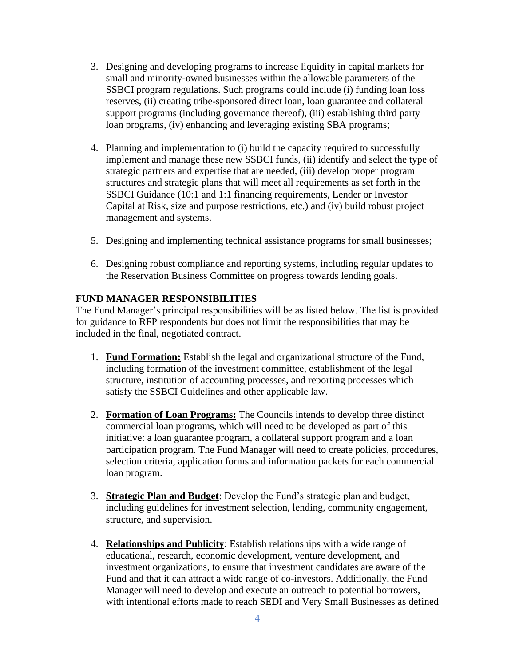- 3. Designing and developing programs to increase liquidity in capital markets for small and minority-owned businesses within the allowable parameters of the SSBCI program regulations. Such programs could include (i) funding loan loss reserves, (ii) creating tribe-sponsored direct loan, loan guarantee and collateral support programs (including governance thereof), (iii) establishing third party loan programs, (iv) enhancing and leveraging existing SBA programs;
- 4. Planning and implementation to (i) build the capacity required to successfully implement and manage these new SSBCI funds, (ii) identify and select the type of strategic partners and expertise that are needed, (iii) develop proper program structures and strategic plans that will meet all requirements as set forth in the SSBCI Guidance (10:1 and 1:1 financing requirements, Lender or Investor Capital at Risk, size and purpose restrictions, etc.) and (iv) build robust project management and systems.
- 5. Designing and implementing technical assistance programs for small businesses;
- 6. Designing robust compliance and reporting systems, including regular updates to the Reservation Business Committee on progress towards lending goals.

## **FUND MANAGER RESPONSIBILITIES**

The Fund Manager's principal responsibilities will be as listed below. The list is provided for guidance to RFP respondents but does not limit the responsibilities that may be included in the final, negotiated contract.

- 1. **Fund Formation:** Establish the legal and organizational structure of the Fund, including formation of the investment committee, establishment of the legal structure, institution of accounting processes, and reporting processes which satisfy the SSBCI Guidelines and other applicable law.
- 2. **Formation of Loan Programs:** The Councils intends to develop three distinct commercial loan programs, which will need to be developed as part of this initiative: a loan guarantee program, a collateral support program and a loan participation program. The Fund Manager will need to create policies, procedures, selection criteria, application forms and information packets for each commercial loan program.
- 3. **Strategic Plan and Budget**: Develop the Fund's strategic plan and budget, including guidelines for investment selection, lending, community engagement, structure, and supervision.
- 4. **Relationships and Publicity**: Establish relationships with a wide range of educational, research, economic development, venture development, and investment organizations, to ensure that investment candidates are aware of the Fund and that it can attract a wide range of co-investors. Additionally, the Fund Manager will need to develop and execute an outreach to potential borrowers, with intentional efforts made to reach SEDI and Very Small Businesses as defined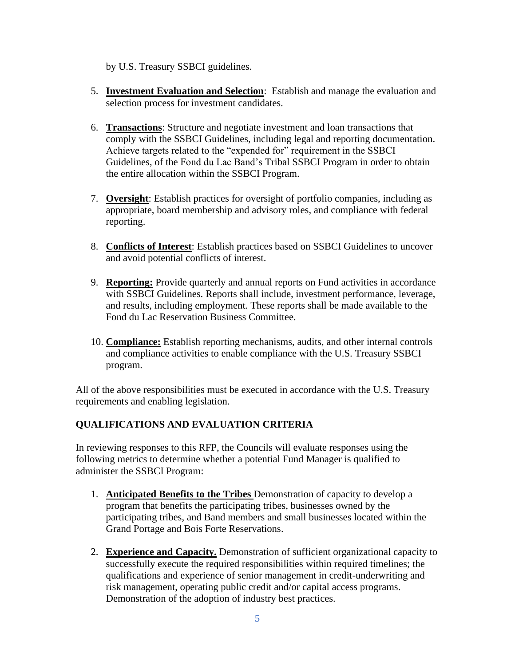by U.S. Treasury SSBCI guidelines.

- 5. **Investment Evaluation and Selection**: Establish and manage the evaluation and selection process for investment candidates.
- 6. **Transactions**: Structure and negotiate investment and loan transactions that comply with the SSBCI Guidelines, including legal and reporting documentation. Achieve targets related to the "expended for" requirement in the SSBCI Guidelines, of the Fond du Lac Band's Tribal SSBCI Program in order to obtain the entire allocation within the SSBCI Program.
- 7. **Oversight**: Establish practices for oversight of portfolio companies, including as appropriate, board membership and advisory roles, and compliance with federal reporting.
- 8. **Conflicts of Interest**: Establish practices based on SSBCI Guidelines to uncover and avoid potential conflicts of interest.
- 9. **Reporting:** Provide quarterly and annual reports on Fund activities in accordance with SSBCI Guidelines. Reports shall include, investment performance, leverage, and results, including employment. These reports shall be made available to the Fond du Lac Reservation Business Committee.
- 10. **Compliance:** Establish reporting mechanisms, audits, and other internal controls and compliance activities to enable compliance with the U.S. Treasury SSBCI program.

All of the above responsibilities must be executed in accordance with the U.S. Treasury requirements and enabling legislation.

# **QUALIFICATIONS AND EVALUATION CRITERIA**

In reviewing responses to this RFP, the Councils will evaluate responses using the following metrics to determine whether a potential Fund Manager is qualified to administer the SSBCI Program:

- 1. **Anticipated Benefits to the Tribes** Demonstration of capacity to develop a program that benefits the participating tribes, businesses owned by the participating tribes, and Band members and small businesses located within the Grand Portage and Bois Forte Reservations.
- 2. **Experience and Capacity.** Demonstration of sufficient organizational capacity to successfully execute the required responsibilities within required timelines; the qualifications and experience of senior management in credit-underwriting and risk management, operating public credit and/or capital access programs. Demonstration of the adoption of industry best practices.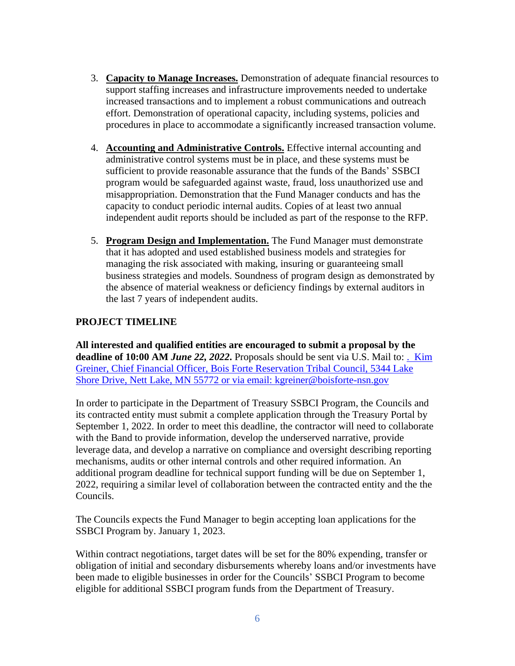- 3. **Capacity to Manage Increases.** Demonstration of adequate financial resources to support staffing increases and infrastructure improvements needed to undertake increased transactions and to implement a robust communications and outreach effort. Demonstration of operational capacity, including systems, policies and procedures in place to accommodate a significantly increased transaction volume.
- 4. **Accounting and Administrative Controls.** Effective internal accounting and administrative control systems must be in place, and these systems must be sufficient to provide reasonable assurance that the funds of the Bands' SSBCI program would be safeguarded against waste, fraud, loss unauthorized use and misappropriation. Demonstration that the Fund Manager conducts and has the capacity to conduct periodic internal audits. Copies of at least two annual independent audit reports should be included as part of the response to the RFP.
- 5. **Program Design and Implementation.** The Fund Manager must demonstrate that it has adopted and used established business models and strategies for managing the risk associated with making, insuring or guaranteeing small business strategies and models. Soundness of program design as demonstrated by the absence of material weakness or deficiency findings by external auditors in the last 7 years of independent audits.

# **PROJECT TIMELINE**

**All interested and qualified entities are encouraged to submit a proposal by the deadline of 10:00 AM** *June 22, 2022***.** Proposals should be sent via U.S. Mail to: . Kim Greiner, Chief Financial Officer, Bois Forte Reservation Tribal Council, 5344 Lake Shore Drive, Nett Lake, MN 55772 or via email: kgreiner@boisforte-nsn.gov

In order to participate in the Department of Treasury SSBCI Program, the Councils and its contracted entity must submit a complete application through the Treasury Portal by September 1, 2022. In order to meet this deadline, the contractor will need to collaborate with the Band to provide information, develop the underserved narrative, provide leverage data, and develop a narrative on compliance and oversight describing reporting mechanisms, audits or other internal controls and other required information. An additional program deadline for technical support funding will be due on September 1, 2022, requiring a similar level of collaboration between the contracted entity and the the Councils.

The Councils expects the Fund Manager to begin accepting loan applications for the SSBCI Program by. January 1, 2023.

Within contract negotiations, target dates will be set for the 80% expending, transfer or obligation of initial and secondary disbursements whereby loans and/or investments have been made to eligible businesses in order for the Councils' SSBCI Program to become eligible for additional SSBCI program funds from the Department of Treasury.